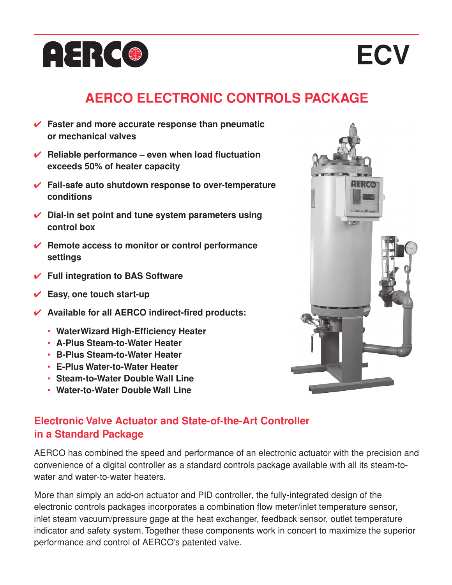



# **AERCO ELECTRONIC CONTROLS PACKAGE**

- ✔ **Faster and more accurate response than pneumatic or mechanical valves**
- ✔ **Reliable performance even when load fluctuation exceeds 50% of heater capacity**
- ✔ **Fail-safe auto shutdown response to over-temperature conditions**
- ✔ **Dial-in set point and tune system parameters using control box**
- ✔ **Remote access to monitor or control performance settings**
- ✔ **Full integration to BAS Software**
- ✔ **Easy, one touch start-up**
- ✔ **Available for all AERCO indirect-fired products:**
	- **WaterWizard High-Efficiency Heater**
	- **A-Plus Steam-to-Water Heater**
	- **B-Plus Steam-to-Water Heater**
	- **E-Plus Water-to-Water Heater**
	- **Steam-to-Water Double Wall Line**
	- **Water-to-Water Double Wall Line**

## **Electronic Valve Actuator and State-of-the-Art Controller in a Standard Package**

AERCO has combined the speed and performance of an electronic actuator with the precision and convenience of a digital controller as a standard controls package available with all its steam-towater and water-to-water heaters.

More than simply an add-on actuator and PID controller, the fully-integrated design of the electronic controls packages incorporates a combination flow meter/inlet temperature sensor, inlet steam vacuum/pressure gage at the heat exchanger, feedback sensor, outlet temperature indicator and safety system. Together these components work in concert to maximize the superior performance and control of AERCO's patented valve.

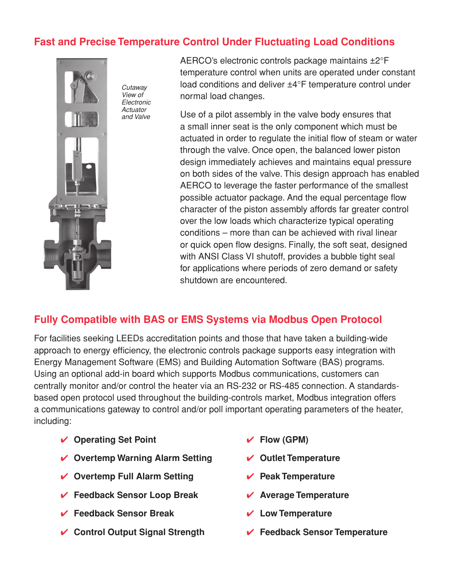### **Fast and Precise Temperature Control Under Fluctuating Load Conditions**



*Cutaway View of Electronic Actuator and Valve*

AERCO's electronic controls package maintains ±2°F temperature control when units are operated under constant load conditions and deliver ±4°F temperature control under normal load changes.

Use of a pilot assembly in the valve body ensures that a small inner seat is the only component which must be actuated in order to regulate the initial flow of steam or water through the valve. Once open, the balanced lower piston design immediately achieves and maintains equal pressure on both sides of the valve. This design approach has enabled AERCO to leverage the faster performance of the smallest possible actuator package. And the equal percentage flow character of the piston assembly affords far greater control over the low loads which characterize typical operating conditions – more than can be achieved with rival linear or quick open flow designs. Finally, the soft seat, designed with ANSI Class VI shutoff, provides a bubble tight seal for applications where periods of zero demand or safety shutdown are encountered.

### **Fully Compatible with BAS or EMS Systems via Modbus Open Protocol**

For facilities seeking LEEDs accreditation points and those that have taken a building-wide approach to energy efficiency, the electronic controls package supports easy integration with Energy Management Software (EMS) and Building Automation Software (BAS) programs. Using an optional add-in board which supports Modbus communications, customers can centrally monitor and/or control the heater via an RS-232 or RS-485 connection. A standardsbased open protocol used throughout the building-controls market, Modbus integration offers a communications gateway to control and/or poll important operating parameters of the heater, including:

- **✓** Operating Set Point  $q \checkmark$  Flow (GPM)
- ✔ **Overtemp Warning Alarm Setting** ✔ **Outlet Temperature**
- ✔ **Overtemp Full Alarm Setting** ✔ **Peak Temperature**
- ✔ **Feedback Sensor Loop Break** ✔ **Average Temperature**
- ✔ **Feedback Sensor Break** ✔ **Low Temperature**
- ✔ **Control Output Signal Strength** ✔ **Feedback Sensor Temperature**
- 
- 
- 
- 
- 
-